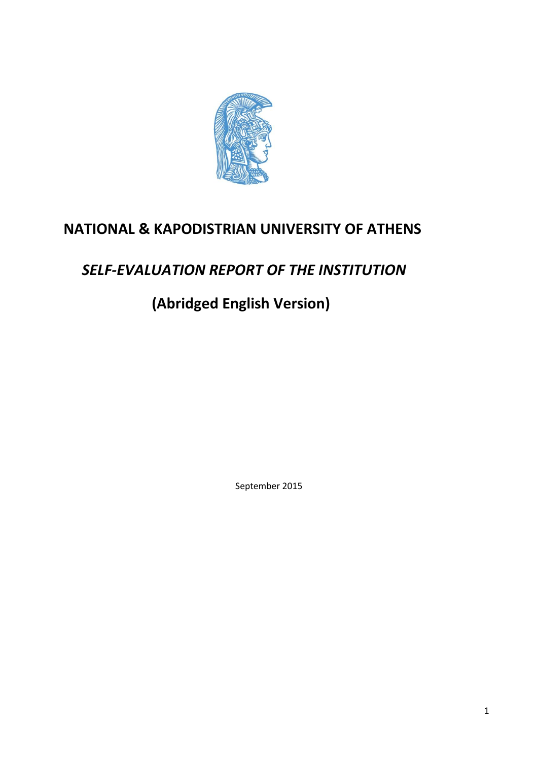

# **NATIONAL & KAPODISTRIAN UNIVERSITY OF ATHENS**

# *SELF-EVALUATION REPORT OF THE INSTITUTION*

 **(Abridged English Version)**

September 2015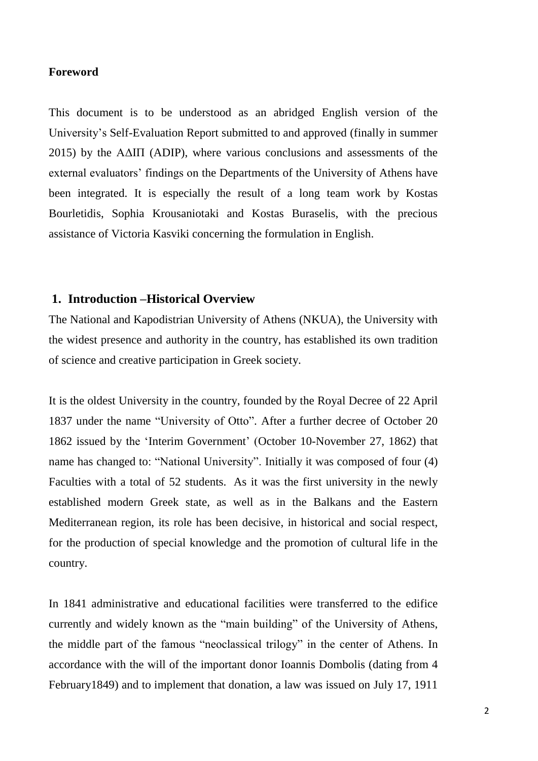### **Foreword**

This document is to be understood as an abridged English version of the University's Self-Evaluation Report submitted to and approved (finally in summer 2015) by the ΑΔΙΠ (ADIP), where various conclusions and assessments of the external evaluators' findings on the Departments of the University of Athens have been integrated. It is especially the result of a long team work by Kostas Bourletidis, Sophia Krousaniotaki and Kostas Buraselis, with the precious assistance of Victoria Kasviki concerning the formulation in English.

## **1. Introduction –Historical Overview**

The National and Kapodistrian University of Athens (NKUA), the University with the widest presence and authority in the country, has established its own tradition of science and creative participation in Greek society.

It is the oldest University in the country, founded by the Royal Decree of 22 April 1837 under the name "University of Otto". After a further decree of October 20 1862 issued by the 'Interim Government' (October 10-November 27, 1862) that name has changed to: "National University". Initially it was composed of four (4) Faculties with a total of 52 students. As it was the first university in the newly established modern Greek state, as well as in the Balkans and the Eastern Mediterranean region, its role has been decisive, in historical and social respect, for the production of special knowledge and the promotion of cultural life in the country.

In 1841 administrative and educational facilities were transferred to the edifice currently and widely known as the "main building" of the University of Athens, the middle part of the famous "neoclassical trilogy" in the center of Athens. In accordance with the will of the important donor Ioannis Dombolis (dating from 4 February1849) and to implement that donation, a law was issued on July 17, 1911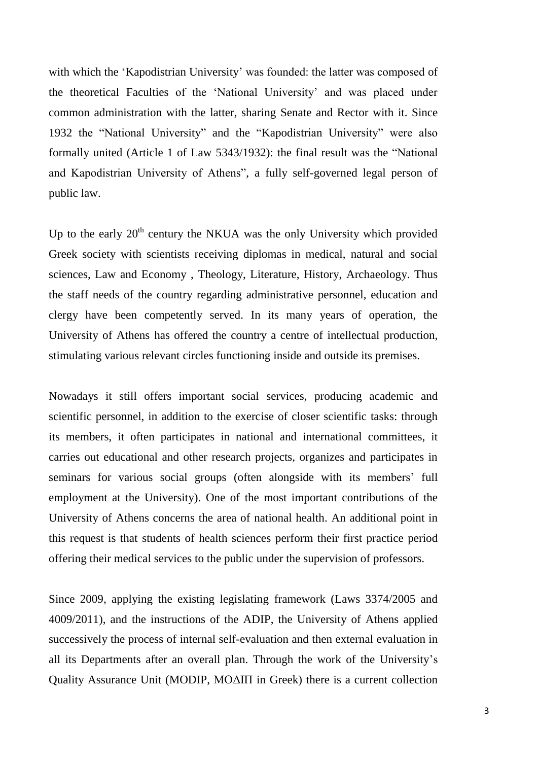with which the 'Kapodistrian University' was founded: the latter was composed of the theoretical Faculties of the 'National University' and was placed under common administration with the latter, sharing Senate and Rector with it. Since 1932 the "National University" and the "Kapodistrian University" were also formally united (Article 1 of Law 5343/1932): the final result was the "National and Kapodistrian University of Athens", a fully self-governed legal person of public law.

Up to the early  $20<sup>th</sup>$  century the NKUA was the only University which provided Greek society with scientists receiving diplomas in medical, natural and social sciences, Law and Economy , Theology, Literature, History, Archaeology. Thus the staff needs of the country regarding administrative personnel, education and clergy have been competently served. In its many years of operation, the University of Athens has offered the country a centre of intellectual production, stimulating various relevant circles functioning inside and outside its premises.

Nowadays it still offers important social services, producing academic and scientific personnel, in addition to the exercise of closer scientific tasks: through its members, it often participates in national and international committees, it carries out educational and other research projects, organizes and participates in seminars for various social groups (often alongside with its members' full employment at the University). One of the most important contributions of the University of Athens concerns the area of national health. An additional point in this request is that students of health sciences perform their first practice period offering their medical services to the public under the supervision of professors.

Since 2009, applying the existing legislating framework (Laws 3374/2005 and 4009/2011), and the instructions of the ADIP, the University of Athens applied successively the process of internal self-evaluation and then external evaluation in all its Departments after an overall plan. Through the work of the University's Quality Assurance Unit (MODIP, ΜΟΔΙΠ in Greek) there is a current collection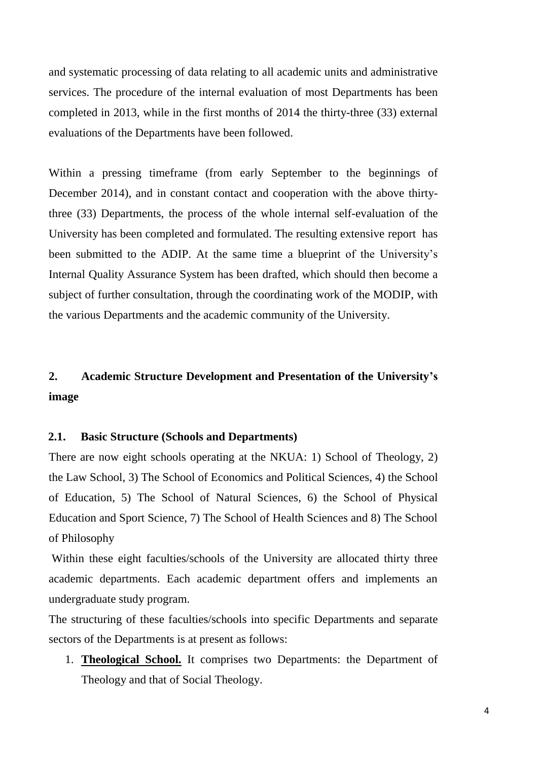and systematic processing of data relating to all academic units and administrative services. The procedure of the internal evaluation of most Departments has been completed in 2013, while in the first months of 2014 the thirty-three (33) external evaluations of the Departments have been followed.

Within a pressing timeframe (from early September to the beginnings of December 2014), and in constant contact and cooperation with the above thirtythree (33) Departments, the process of the whole internal self-evaluation of the University has been completed and formulated. The resulting extensive report has been submitted to the ADIP. At the same time a blueprint of the University's Internal Quality Assurance System has been drafted, which should then become a subject of further consultation, through the coordinating work of the MODIP, with the various Departments and the academic community of the University.

## **2. Academic Structure Development and Presentation of the University's image**

## **2.1. Basic Structure (Schools and Departments)**

There are now eight schools operating at the NKUA: 1) School of Theology, 2) the Law School, 3) The School of Economics and Political Sciences, 4) the School of Education, 5) The School of Natural Sciences, 6) the School of Physical Education and Sport Science, 7) The School of Health Sciences and 8) The School of Philosophy

Within these eight faculties/schools of the University are allocated thirty three academic departments. Each academic department offers and implements an undergraduate study program.

The structuring of these faculties/schools into specific Departments and separate sectors of the Departments is at present as follows:

1. **Theological School.** It comprises two Departments: the Department of Theology and that of Social Theology.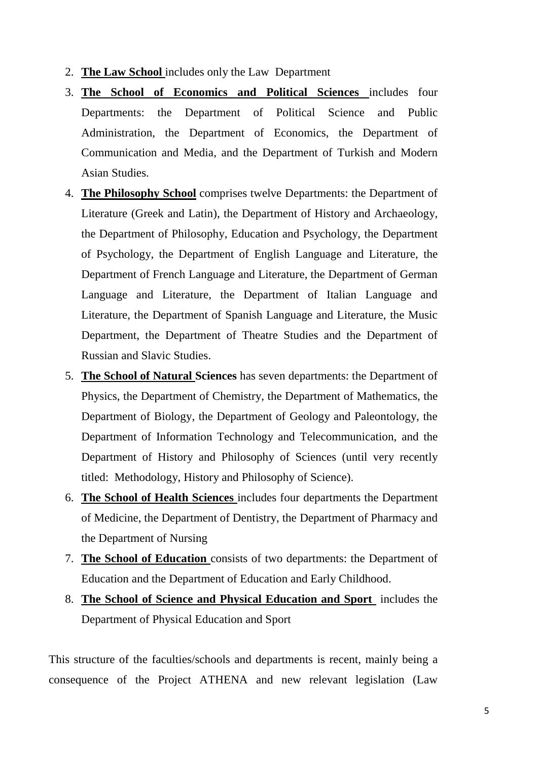- 2. **The Law School** includes only the Law Department
- 3. **The School of Economics and Political Sciences** includes four Departments: the Department of Political Science and Public Administration, the Department of Economics, the Department of Communication and Media, and the Department of Turkish and Modern Asian Studies.
- 4. **The Philosophy School** comprises twelve Departments: the Department of Literature (Greek and Latin), the Department of History and Archaeology, the Department of Philosophy, Education and Psychology, the Department of Psychology, the Department of English Language and Literature, the Department of French Language and Literature, the Department of German Language and Literature, the Department of Italian Language and Literature, the Department of Spanish Language and Literature, the Music Department, the Department of Theatre Studies and the Department of Russian and Slavic Studies.
- 5. **The School of Natural Sciences** has seven departments: the Department of Physics, the Department of Chemistry, the Department of Mathematics, the Department of Biology, the Department of Geology and Paleontology, the Department of Information Technology and Telecommunication, and the Department of History and Philosophy of Sciences (until very recently titled: Methodology, History and Philosophy of Science).
- 6. **The School of Health Sciences** includes four departments the Department of Medicine, the Department of Dentistry, the Department of Pharmacy and the Department of Nursing
- 7. **The School of Education** consists of two departments: the Department of Education and the Department of Education and Early Childhood.
- 8. **The School of Science and Physical Education and Sport** includes the Department of Physical Education and Sport

This structure of the faculties/schools and departments is recent, mainly being a consequence of the Project ATHENA and new relevant legislation (Law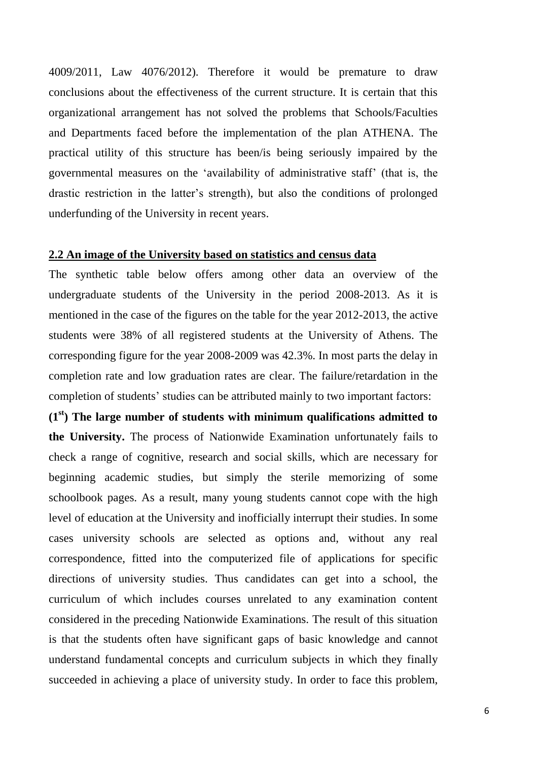4009/2011, Law 4076/2012). Therefore it would be premature to draw conclusions about the effectiveness of the current structure. It is certain that this organizational arrangement has not solved the problems that Schools/Faculties and Departments faced before the implementation of the plan ATHENA. The practical utility of this structure has been/is being seriously impaired by the governmental measures on the 'availability of administrative staff' (that is, the drastic restriction in the latter's strength), but also the conditions of prolonged underfunding of the University in recent years.

#### **2.2 An image of the University based on statistics and census data**

The synthetic table below offers among other data an overview of the undergraduate students of the University in the period 2008-2013. As it is mentioned in the case of the figures on the table for the year 2012-2013, the active students were 38% of all registered students at the University of Athens. The corresponding figure for the year 2008-2009 was 42.3%. In most parts the delay in completion rate and low graduation rates are clear. The failure/retardation in the completion of students' studies can be attributed mainly to two important factors:

**(1st) The large number of students with minimum qualifications admitted to the University.** The process of Nationwide Examination unfortunately fails to check a range of cognitive, research and social skills, which are necessary for beginning academic studies, but simply the sterile memorizing of some schoolbook pages. As a result, many young students cannot cope with the high level of education at the University and inofficially interrupt their studies. In some cases university schools are selected as options and, without any real correspondence, fitted into the computerized file of applications for specific directions of university studies. Thus candidates can get into a school, the curriculum of which includes courses unrelated to any examination content considered in the preceding Nationwide Examinations. The result of this situation is that the students often have significant gaps of basic knowledge and cannot understand fundamental concepts and curriculum subjects in which they finally succeeded in achieving a place of university study. In order to face this problem,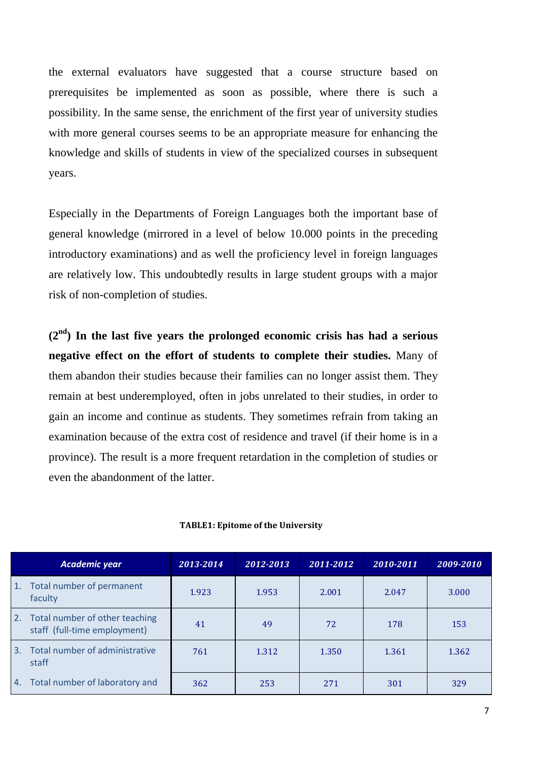the external evaluators have suggested that a course structure based on prerequisites be implemented as soon as possible, where there is such a possibility. In the same sense, the enrichment of the first year of university studies with more general courses seems to be an appropriate measure for enhancing the knowledge and skills of students in view of the specialized courses in subsequent years.

Especially in the Departments of Foreign Languages both the important base of general knowledge (mirrored in a level of below 10.000 points in the preceding introductory examinations) and as well the proficiency level in foreign languages are relatively low. This undoubtedly results in large student groups with a major risk of non-completion of studies.

**(2nd) In the last five years the prolonged economic crisis has had a serious negative effect on the effort of students to complete their studies.** Many of them abandon their studies because their families can no longer assist them. They remain at best underemployed, often in jobs unrelated to their studies, in order to gain an income and continue as students. They sometimes refrain from taking an examination because of the extra cost of residence and travel (if their home is in a province). The result is a more frequent retardation in the completion of studies or even the abandonment of the latter.

|                  | Academic year                                                     | 2013-2014 | 2012-2013 | 2011-2012 | 2010-2011 | 2009-2010 |
|------------------|-------------------------------------------------------------------|-----------|-----------|-----------|-----------|-----------|
| $\mathbf{1}$ .   | Total number of permanent<br>faculty                              | 1.923     | 1.953     | 2.001     | 2.047     | 3.000     |
|                  | 2. Total number of other teaching<br>staff (full-time employment) | 41        | 49        | 72        | 178       | 153       |
| $\overline{3}$ . | Total number of administrative<br>staff                           | 761       | 1.312     | 1.350     | 1.361     | 1.362     |
|                  | 4. Total number of laboratory and                                 | 362       | 253       | 271       | 301       | 329       |

#### **TABLE1: Epitome of the University**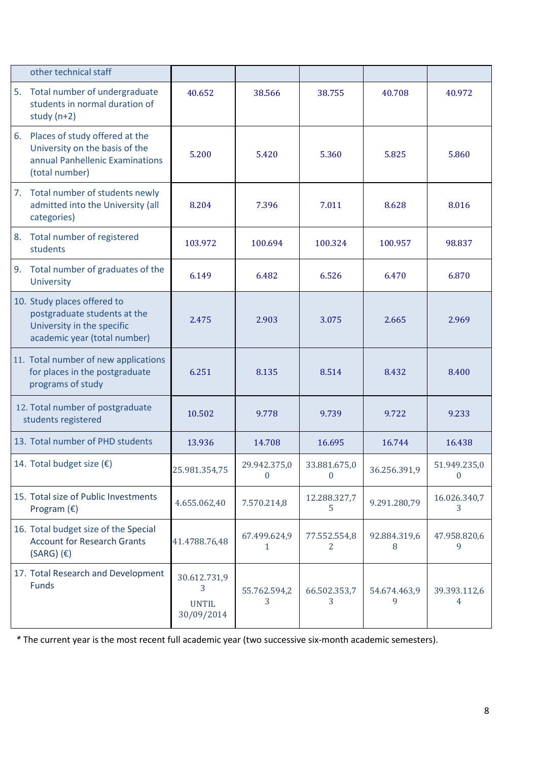|                                                         | other technical staff                                                                                                     |                                                 |                              |                              |                   |                              |
|---------------------------------------------------------|---------------------------------------------------------------------------------------------------------------------------|-------------------------------------------------|------------------------------|------------------------------|-------------------|------------------------------|
| 5.                                                      | Total number of undergraduate<br>students in normal duration of<br>study $(n+2)$                                          | 40.652                                          | 38.566                       | 38.755                       | 40.708            | 40.972                       |
| 6.                                                      | Places of study offered at the<br>University on the basis of the<br>annual Panhellenic Examinations<br>(total number)     | 5.200                                           | 5.420                        | 5.360                        | 5.825             | 5.860                        |
| 7.                                                      | Total number of students newly<br>admitted into the University (all<br>categories)                                        | 8.204                                           | 7.396                        | 7.011                        | 8.628             | 8.016                        |
| 8.                                                      | Total number of registered<br>students                                                                                    | 103.972                                         | 100.694                      | 100.324                      | 100.957           | 98.837                       |
| 9.                                                      | Total number of graduates of the<br><b>University</b>                                                                     | 6.149                                           | 6.482                        | 6.526                        | 6.470             | 6.870                        |
|                                                         | 10. Study places offered to<br>postgraduate students at the<br>University in the specific<br>academic year (total number) | 2.475                                           | 2.903                        | 3.075                        | 2.665             | 2.969                        |
|                                                         | 11. Total number of new applications<br>for places in the postgraduate<br>programs of study                               | 6.251                                           | 8.135                        | 8.514                        | 8.432             | 8.400                        |
| 12. Total number of postgraduate<br>students registered |                                                                                                                           | 10.502                                          | 9.778                        | 9.739                        | 9.722             | 9.233                        |
|                                                         | 13. Total number of PHD students                                                                                          | 13.936                                          | 14.708                       | 16.695                       | 16.744            | 16.438                       |
|                                                         | 14. Total budget size $(\epsilon)$                                                                                        | 25.981.354,75                                   | 29.942.375,0<br>$\mathbf{0}$ | 33.881.675,0<br>$\mathbf{0}$ | 36.256.391,9      | 51.949.235,0<br>$\mathbf{0}$ |
|                                                         | 15. Total size of Public Investments<br>Program $(\epsilon)$                                                              | 4.655.062,40                                    | 7.570.214,8                  | 12.288.327,7<br>5            | 9.291.280,79      | 16.026.340,7<br>3            |
|                                                         | 16. Total budget size of the Special<br><b>Account for Research Grants</b><br>$(SARG)$ (€)                                | 41.4788.76,48                                   | 67.499.624,9<br>1            | 77.552.554,8<br>2            | 92.884.319,6<br>8 | 47.958.820,6<br>9            |
|                                                         | 17. Total Research and Development<br>Funds                                                                               | 30.612.731,9<br>3<br><b>UNTIL</b><br>30/09/2014 | 55.762.594,2<br>3            | 66.502.353,7<br>3            | 54.674.463,9<br>9 | 39.393.112,6<br>4            |

*\** The current year is the most recent full academic year (two successive six-month academic semesters).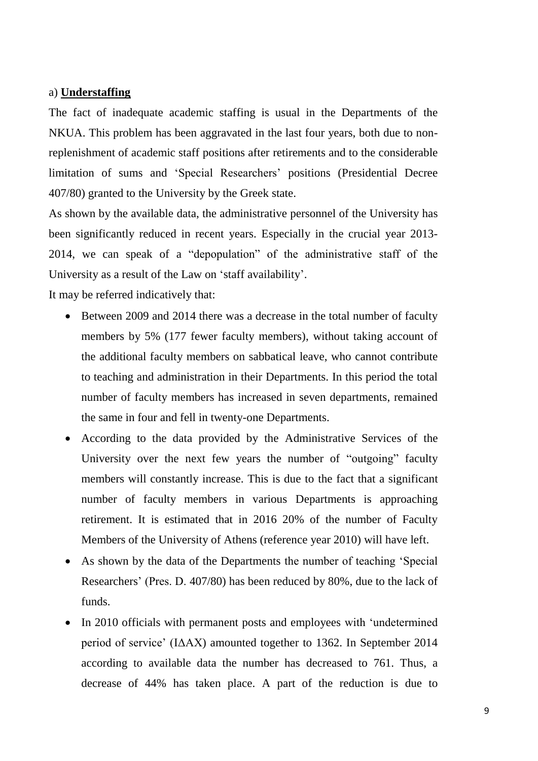## a) **Understaffing**

The fact of inadequate academic staffing is usual in the Departments of the NKUA. This problem has been aggravated in the last four years, both due to nonreplenishment of academic staff positions after retirements and to the considerable limitation of sums and 'Special Researchers' positions (Presidential Decree 407/80) granted to the University by the Greek state.

As shown by the available data, the administrative personnel of the University has been significantly reduced in recent years. Especially in the crucial year 2013- 2014, we can speak of a "depopulation" of the administrative staff of the University as a result of the Law on 'staff availability'.

It may be referred indicatively that:

- Between 2009 and 2014 there was a decrease in the total number of faculty members by 5% (177 fewer faculty members), without taking account of the additional faculty members on sabbatical leave, who cannot contribute to teaching and administration in their Departments. In this period the total number of faculty members has increased in seven departments, remained the same in four and fell in twenty-one Departments.
- According to the data provided by the Administrative Services of the University over the next few years the number of "outgoing" faculty members will constantly increase. This is due to the fact that a significant number of faculty members in various Departments is approaching retirement. It is estimated that in 2016 20% of the number of Faculty Members of the University of Athens (reference year 2010) will have left.
- As shown by the data of the Departments the number of teaching 'Special Researchers' (Pres. D. 407/80) has been reduced by 80%, due to the lack of funds.
- In 2010 officials with permanent posts and employees with 'undetermined period of service' (ΙΔΑΧ) amounted together to 1362. In September 2014 according to available data the number has decreased to 761. Thus, a decrease of 44% has taken place. A part of the reduction is due to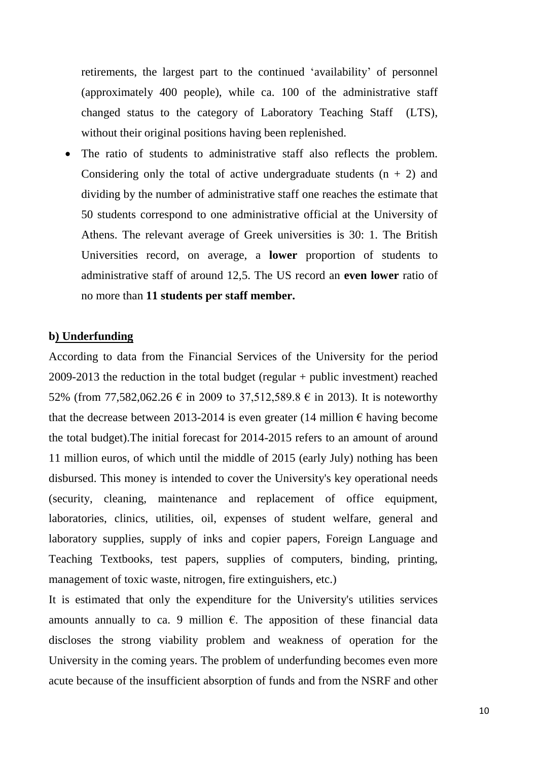retirements, the largest part to the continued 'availability' of personnel (approximately 400 people), while ca. 100 of the administrative staff changed status to the category of Laboratory Teaching Staff (LTS), without their original positions having been replenished.

 The ratio of students to administrative staff also reflects the problem. Considering only the total of active undergraduate students  $(n + 2)$  and dividing by the number of administrative staff one reaches the estimate that 50 students correspond to one administrative official at the University of Athens. The relevant average of Greek universities is 30: 1. The British Universities record, on average, a **lower** proportion of students to administrative staff of around 12,5. The US record an **even lower** ratio of no more than **11 students per staff member.**

## **b) Underfunding**

According to data from the Financial Services of the University for the period 2009-2013 the reduction in the total budget (regular + public investment) reached 52% (from 77,582,062.26 € in 2009 to 37,512,589.8 € in 2013). It is noteworthy that the decrease between 2013-2014 is even greater (14 million  $\epsilon$  having become the total budget).The initial forecast for 2014-2015 refers to an amount of around 11 million euros, of which until the middle of 2015 (early July) nothing has been disbursed. This money is intended to cover the University's key operational needs (security, cleaning, maintenance and replacement of office equipment, laboratories, clinics, utilities, oil, expenses of student welfare, general and laboratory supplies, supply of inks and copier papers, Foreign Language and Teaching Textbooks, test papers, supplies of computers, binding, printing, management of toxic waste, nitrogen, fire extinguishers, etc.)

It is estimated that only the expenditure for the University's utilities services amounts annually to ca. 9 million  $\epsilon$ . The apposition of these financial data discloses the strong viability problem and weakness of operation for the University in the coming years. The problem of underfunding becomes even more acute because of the insufficient absorption of funds and from the NSRF and other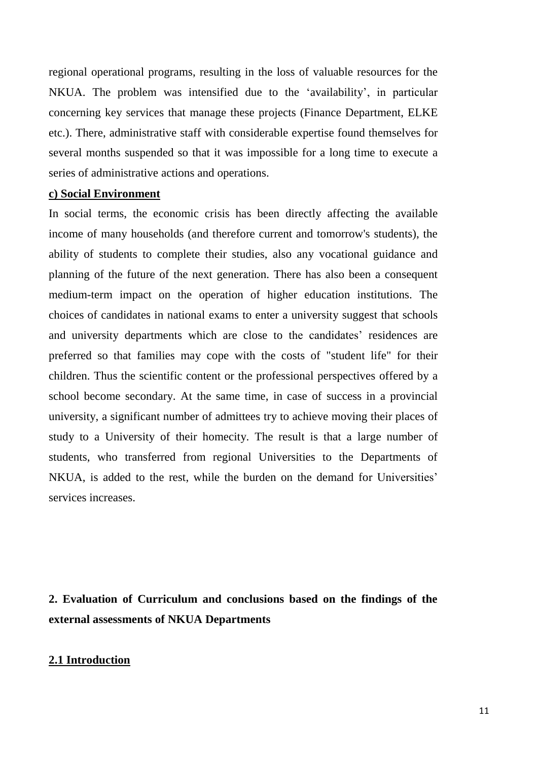regional operational programs, resulting in the loss of valuable resources for the NKUA. The problem was intensified due to the 'availability', in particular concerning key services that manage these projects (Finance Department, ELKE etc.). There, administrative staff with considerable expertise found themselves for several months suspended so that it was impossible for a long time to execute a series of administrative actions and operations.

## **c) Social Environment**

In social terms, the economic crisis has been directly affecting the available income of many households (and therefore current and tomorrow's students), the ability of students to complete their studies, also any vocational guidance and planning of the future of the next generation. There has also been a consequent medium-term impact on the operation of higher education institutions. The choices of candidates in national exams to enter a university suggest that schools and university departments which are close to the candidates' residences are preferred so that families may cope with the costs of "student life" for their children. Thus the scientific content or the professional perspectives offered by a school become secondary. At the same time, in case of success in a provincial university, a significant number of admittees try to achieve moving their places of study to a University of their homecity. The result is that a large number of students, who transferred from regional Universities to the Departments of NKUA, is added to the rest, while the burden on the demand for Universities' services increases.

**2. Evaluation of Curriculum and conclusions based on the findings of the external assessments of NKUA Departments**

#### **2.1 Introduction**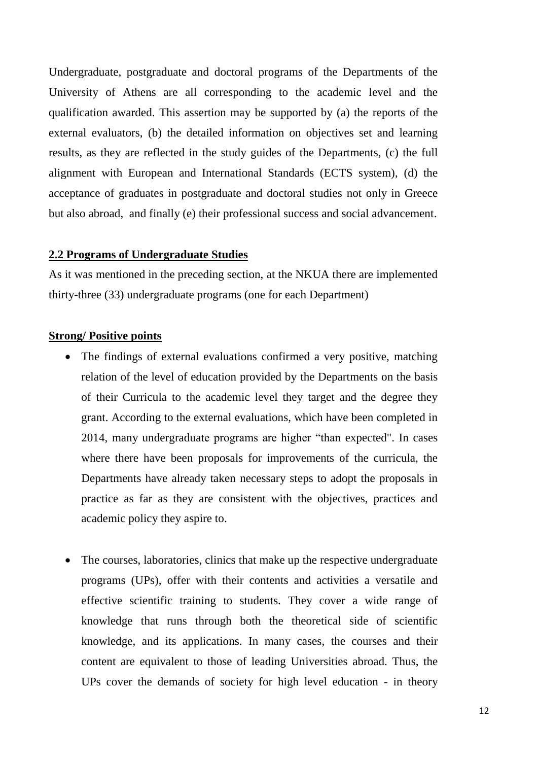Undergraduate, postgraduate and doctoral programs of the Departments of the University of Athens are all corresponding to the academic level and the qualification awarded. This assertion may be supported by (a) the reports of the external evaluators, (b) the detailed information on objectives set and learning results, as they are reflected in the study guides of the Departments, (c) the full alignment with European and International Standards (ECTS system), (d) the acceptance of graduates in postgraduate and doctoral studies not only in Greece but also abroad, and finally (e) their professional success and social advancement.

## **2.2 Programs of Undergraduate Studies**

As it was mentioned in the preceding section, at the NKUA there are implemented thirty-three (33) undergraduate programs (one for each Department)

## **Strong/ Positive points**

- The findings of external evaluations confirmed a very positive, matching relation of the level of education provided by the Departments on the basis of their Curricula to the academic level they target and the degree they grant. According to the external evaluations, which have been completed in 2014, many undergraduate programs are higher "than expected". In cases where there have been proposals for improvements of the curricula, the Departments have already taken necessary steps to adopt the proposals in practice as far as they are consistent with the objectives, practices and academic policy they aspire to.
- The courses, laboratories, clinics that make up the respective undergraduate programs (UPs), offer with their contents and activities a versatile and effective scientific training to students. They cover a wide range of knowledge that runs through both the theoretical side of scientific knowledge, and its applications. In many cases, the courses and their content are equivalent to those of leading Universities abroad. Thus, the UPs cover the demands of society for high level education - in theory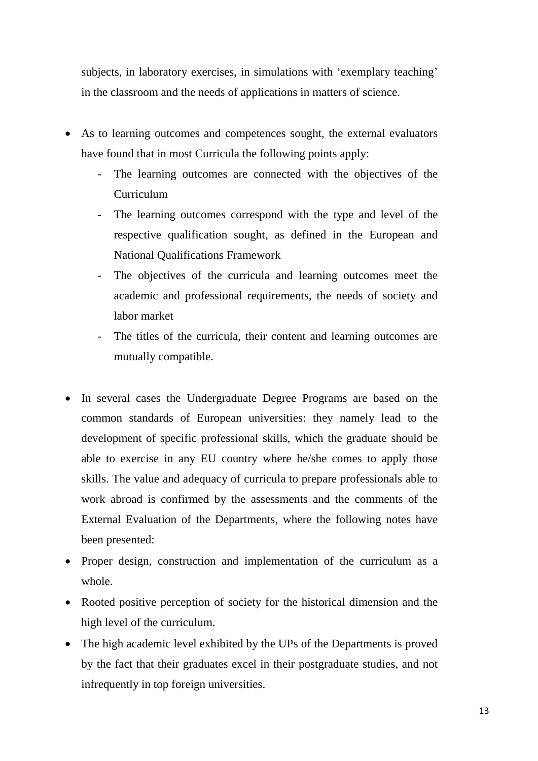subjects, in laboratory exercises, in simulations with 'exemplary teaching' in the classroom and the needs of applications in matters of science.

- As to learning outcomes and competences sought, the external evaluators have found that in most Curricula the following points apply:
	- The learning outcomes are connected with the objectives of the Curriculum
	- The learning outcomes correspond with the type and level of the respective qualification sought, as defined in the European and National Qualifications Framework
	- The objectives of the curricula and learning outcomes meet the academic and professional requirements, the needs of society and labor market
	- The titles of the curricula, their content and learning outcomes are mutually compatible.
- In several cases the Undergraduate Degree Programs are based on the common standards of European universities: they namely lead to the development of specific professional skills, which the graduate should be able to exercise in any EU country where he/she comes to apply those skills. The value and adequacy of curricula to prepare professionals able to work abroad is confirmed by the assessments and the comments of the External Evaluation of the Departments, where the following notes have been presented:
- Proper design, construction and implementation of the curriculum as a whole.
- Rooted positive perception of society for the historical dimension and the high level of the curriculum.
- The high academic level exhibited by the UPs of the Departments is proved by the fact that their graduates excel in their postgraduate studies, and not infrequently in top foreign universities.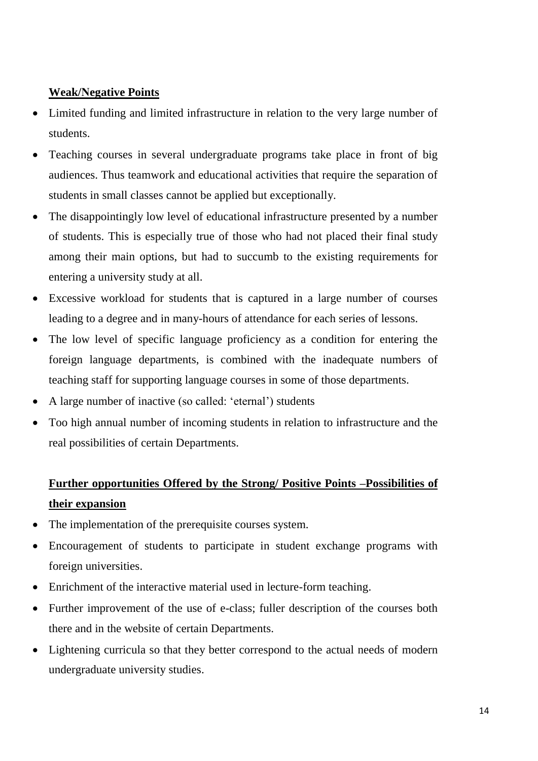## **Weak/Νegative Points**

- Limited funding and limited infrastructure in relation to the very large number of students.
- Teaching courses in several undergraduate programs take place in front of big audiences. Thus teamwork and educational activities that require the separation of students in small classes cannot be applied but exceptionally.
- The disappointingly low level of educational infrastructure presented by a number of students. This is especially true of those who had not placed their final study among their main options, but had to succumb to the existing requirements for entering a university study at all.
- Excessive workload for students that is captured in a large number of courses leading to a degree and in many-hours of attendance for each series of lessons.
- The low level of specific language proficiency as a condition for entering the foreign language departments, is combined with the inadequate numbers of teaching staff for supporting language courses in some of those departments.
- A large number of inactive (so called: 'eternal') students
- Too high annual number of incoming students in relation to infrastructure and the real possibilities of certain Departments.

## **Further opportunities Offered by the Strong/ Positive Points –Possibilities of their expansion**

- The implementation of the prerequisite courses system.
- Encouragement of students to participate in student exchange programs with foreign universities.
- Enrichment of the interactive material used in lecture-form teaching.
- Further improvement of the use of e-class; fuller description of the courses both there and in the website of certain Departments.
- Lightening curricula so that they better correspond to the actual needs of modern undergraduate university studies.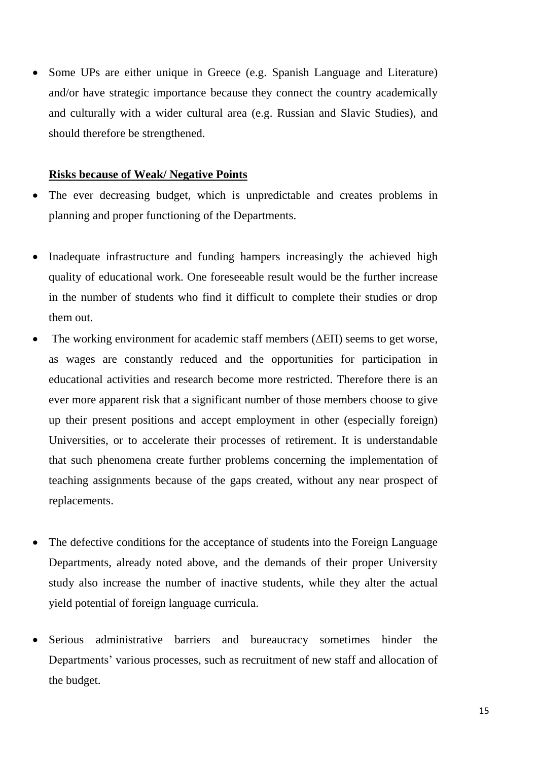• Some UPs are either unique in Greece (e.g. Spanish Language and Literature) and/or have strategic importance because they connect the country academically and culturally with a wider cultural area (e.g. Russian and Slavic Studies), and should therefore be strengthened.

#### **Risks because of Weak/ Negative Points**

- The ever decreasing budget, which is unpredictable and creates problems in planning and proper functioning of the Departments.
- Inadequate infrastructure and funding hampers increasingly the achieved high quality of educational work. One foreseeable result would be the further increase in the number of students who find it difficult to complete their studies or drop them out.
- The working environment for academic staff members  $(\Delta E \Pi)$  seems to get worse, as wages are constantly reduced and the opportunities for participation in educational activities and research become more restricted. Therefore there is an ever more apparent risk that a significant number of those members choose to give up their present positions and accept employment in other (especially foreign) Universities, or to accelerate their processes of retirement. It is understandable that such phenomena create further problems concerning the implementation of teaching assignments because of the gaps created, without any near prospect of replacements.
- The defective conditions for the acceptance of students into the Foreign Language Departments, already noted above, and the demands of their proper University study also increase the number of inactive students, while they alter the actual yield potential of foreign language curricula.
- Serious administrative barriers and bureaucracy sometimes hinder the Departments' various processes, such as recruitment of new staff and allocation of the budget.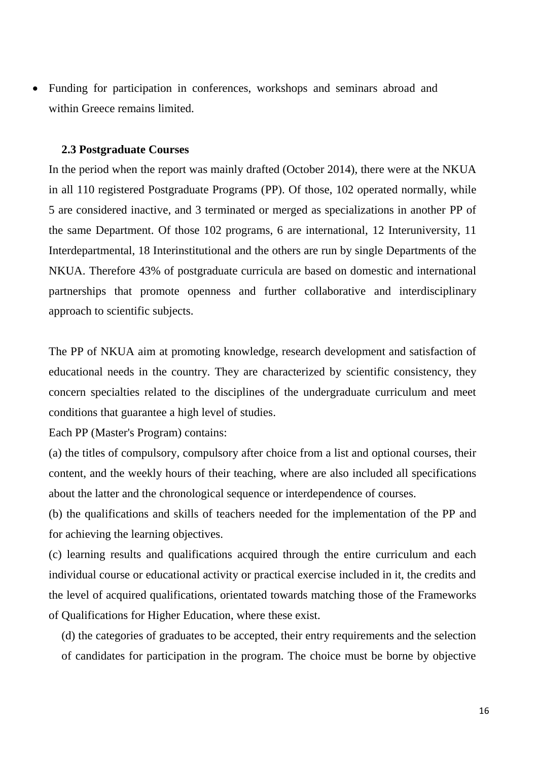Funding for participation in conferences, workshops and seminars abroad and within Greece remains limited.

#### **2.3 Postgraduate Courses**

In the period when the report was mainly drafted (October 2014), there were at the NKUA in all 110 registered Postgraduate Programs (PP). Of those, 102 operated normally, while 5 are considered inactive, and 3 terminated or merged as specializations in another PP of the same Department. Of those 102 programs, 6 are international, 12 Interuniversity, 11 Interdepartmental, 18 Interinstitutional and the others are run by single Departments of the NKUA. Therefore 43% of postgraduate curricula are based on domestic and international partnerships that promote openness and further collaborative and interdisciplinary approach to scientific subjects.

The PP of NKUA aim at promoting knowledge, research development and satisfaction of educational needs in the country. They are characterized by scientific consistency, they concern specialties related to the disciplines of the undergraduate curriculum and meet conditions that guarantee a high level of studies.

Each PP (Master's Program) contains:

(a) the titles of compulsory, compulsory after choice from a list and optional courses, their content, and the weekly hours of their teaching, where are also included all specifications about the latter and the chronological sequence or interdependence of courses.

(b) the qualifications and skills of teachers needed for the implementation of the PP and for achieving the learning objectives.

(c) learning results and qualifications acquired through the entire curriculum and each individual course or educational activity or practical exercise included in it, the credits and the level of acquired qualifications, orientated towards matching those of the Frameworks of Qualifications for Higher Education, where these exist.

(d) the categories of graduates to be accepted, their entry requirements and the selection of candidates for participation in the program. The choice must be borne by objective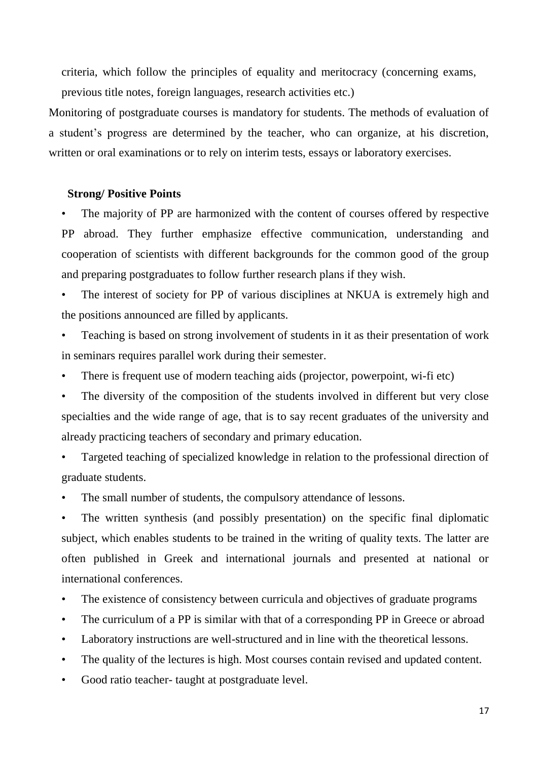criteria, which follow the principles of equality and meritocracy (concerning exams, previous title notes, foreign languages, research activities etc.)

Monitoring of postgraduate courses is mandatory for students. The methods of evaluation of a student's progress are determined by the teacher, who can organize, at his discretion, written or oral examinations or to rely on interim tests, essays or laboratory exercises.

## **Strong/ Positive Points**

The majority of PP are harmonized with the content of courses offered by respective PP abroad. They further emphasize effective communication, understanding and cooperation of scientists with different backgrounds for the common good of the group and preparing postgraduates to follow further research plans if they wish.

The interest of society for PP of various disciplines at NKUA is extremely high and the positions announced are filled by applicants.

• Teaching is based on strong involvement of students in it as their presentation of work in seminars requires parallel work during their semester.

- There is frequent use of modern teaching aids (projector, powerpoint, wi-fi etc)
- The diversity of the composition of the students involved in different but very close specialties and the wide range of age, that is to say recent graduates of the university and already practicing teachers of secondary and primary education.
- Targeted teaching of specialized knowledge in relation to the professional direction of graduate students.
- The small number of students, the compulsory attendance of lessons.

The written synthesis (and possibly presentation) on the specific final diplomatic subject, which enables students to be trained in the writing of quality texts. The latter are often published in Greek and international journals and presented at national or international conferences.

- The existence of consistency between curricula and objectives of graduate programs
- The curriculum of a PP is similar with that of a corresponding PP in Greece or abroad
- Laboratory instructions are well-structured and in line with the theoretical lessons.
- The quality of the lectures is high. Most courses contain revised and updated content.
- Good ratio teacher- taught at postgraduate level.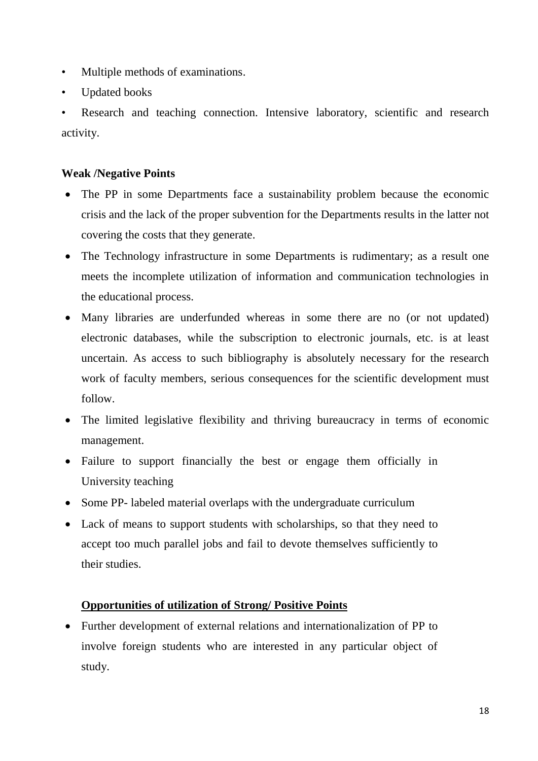- Multiple methods of examinations.
- Updated books

Research and teaching connection. Intensive laboratory, scientific and research activity.

## **Weak /Negative Points**

- The PP in some Departments face a sustainability problem because the economic crisis and the lack of the proper subvention for the Departments results in the latter not covering the costs that they generate.
- The Technology infrastructure in some Departments is rudimentary; as a result one meets the incomplete utilization of information and communication technologies in the educational process.
- Many libraries are underfunded whereas in some there are no (or not updated) electronic databases, while the subscription to electronic journals, etc. is at least uncertain. As access to such bibliography is absolutely necessary for the research work of faculty members, serious consequences for the scientific development must follow.
- The limited legislative flexibility and thriving bureaucracy in terms of economic management.
- Failure to support financially the best or engage them officially in University teaching
- Some PP- labeled material overlaps with the undergraduate curriculum
- Lack of means to support students with scholarships, so that they need to accept too much parallel jobs and fail to devote themselves sufficiently to their studies.

## **Opportunities of utilization of Strong/ Positive Points**

 Further development of external relations and internationalization of PP to involve foreign students who are interested in any particular object of study.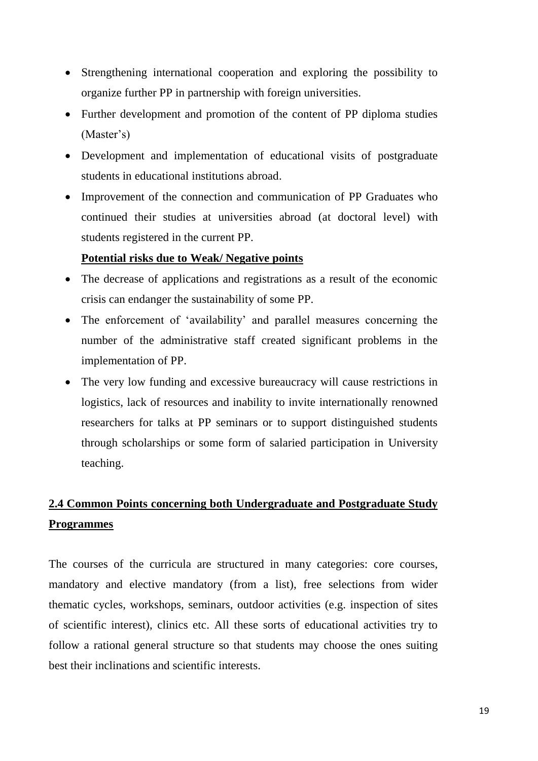- Strengthening international cooperation and exploring the possibility to organize further PP in partnership with foreign universities.
- Further development and promotion of the content of PP diploma studies (Master's)
- Development and implementation of educational visits of postgraduate students in educational institutions abroad.
- Improvement of the connection and communication of PP Graduates who continued their studies at universities abroad (at doctoral level) with students registered in the current PP.

## **Potential risks due to Weak/ Negative points**

- The decrease of applications and registrations as a result of the economic crisis can endanger the sustainability of some PP.
- The enforcement of 'availability' and parallel measures concerning the number of the administrative staff created significant problems in the implementation of PP.
- The very low funding and excessive bureaucracy will cause restrictions in logistics, lack of resources and inability to invite internationally renowned researchers for talks at PP seminars or to support distinguished students through scholarships or some form of salaried participation in University teaching.

## **2.4 Common Points concerning both Undergraduate and Postgraduate Study Programmes**

The courses of the curricula are structured in many categories: core courses, mandatory and elective mandatory (from a list), free selections from wider thematic cycles, workshops, seminars, outdoor activities (e.g. inspection of sites of scientific interest), clinics etc. All these sorts of educational activities try to follow a rational general structure so that students may choose the ones suiting best their inclinations and scientific interests.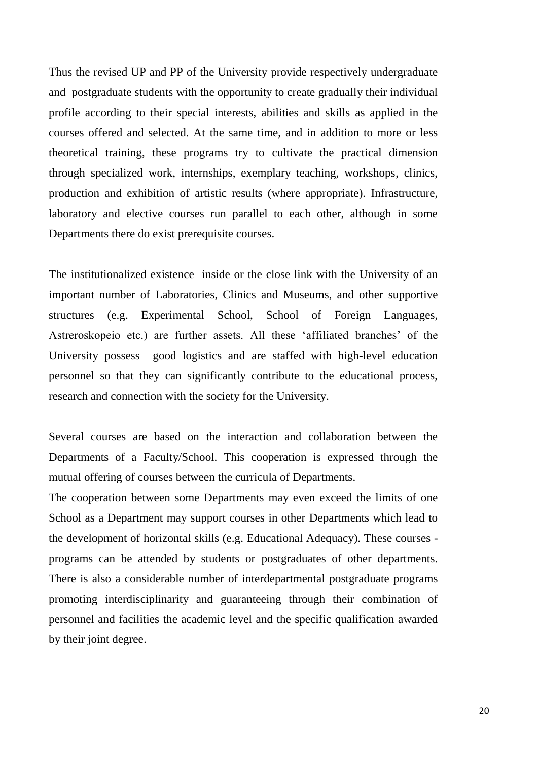Thus the revised UP and PP of the University provide respectively undergraduate and postgraduate students with the opportunity to create gradually their individual profile according to their special interests, abilities and skills as applied in the courses offered and selected. At the same time, and in addition to more or less theoretical training, these programs try to cultivate the practical dimension through specialized work, internships, exemplary teaching, workshops, clinics, production and exhibition of artistic results (where appropriate). Infrastructure, laboratory and elective courses run parallel to each other, although in some Departments there do exist prerequisite courses.

The institutionalized existence inside or the close link with the University of an important number of Laboratories, Clinics and Museums, and other supportive structures (e.g. Experimental School, School of Foreign Languages, Astreroskopeio etc.) are further assets. All these 'affiliated branches' of the University possess good logistics and are staffed with high-level education personnel so that they can significantly contribute to the educational process, research and connection with the society for the University.

Several courses are based on the interaction and collaboration between the Departments of a Faculty/School. This cooperation is expressed through the mutual offering of courses between the curricula of Departments.

The cooperation between some Departments may even exceed the limits of one School as a Department may support courses in other Departments which lead to the development of horizontal skills (e.g. Educational Adequacy). These courses programs can be attended by students or postgraduates of other departments. There is also a considerable number of interdepartmental postgraduate programs promoting interdisciplinarity and guaranteeing through their combination of personnel and facilities the academic level and the specific qualification awarded by their joint degree.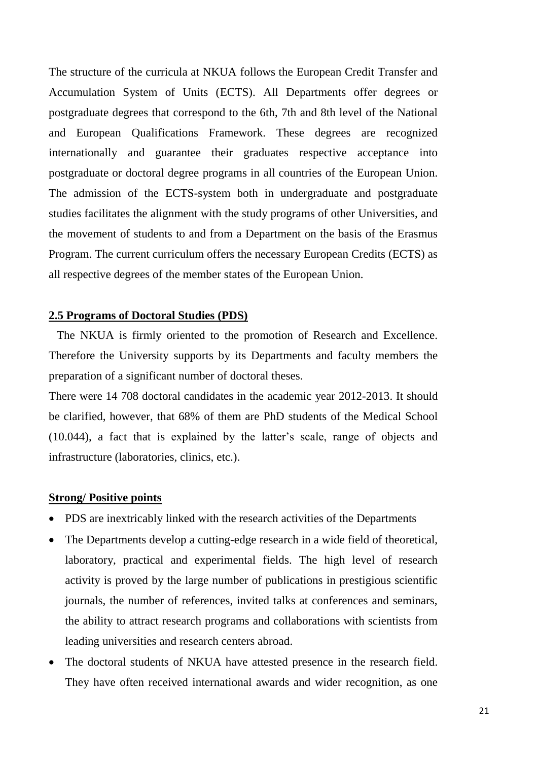The structure of the curricula at NKUA follows the European Credit Transfer and Accumulation System of Units (ECTS). All Departments offer degrees or postgraduate degrees that correspond to the 6th, 7th and 8th level of the National and European Qualifications Framework. These degrees are recognized internationally and guarantee their graduates respective acceptance into postgraduate or doctoral degree programs in all countries of the European Union. The admission of the ECTS-system both in undergraduate and postgraduate studies facilitates the alignment with the study programs of other Universities, and the movement of students to and from a Department on the basis of the Erasmus Program. The current curriculum offers the necessary European Credits (ECTS) as all respective degrees of the member states of the European Union.

### **2.5 Programs of Doctoral Studies (PDS)**

The NKUA is firmly oriented to the promotion of Research and Excellence. Therefore the University supports by its Departments and faculty members the preparation of a significant number of doctoral theses.

There were 14 708 doctoral candidates in the academic year 2012-2013. It should be clarified, however, that 68% of them are PhD students of the Medical School (10.044), a fact that is explained by the latter's scale, range of objects and infrastructure (laboratories, clinics, etc.).

#### **Strong/ Positive points**

- PDS are inextricably linked with the research activities of the Departments
- The Departments develop a cutting-edge research in a wide field of theoretical, laboratory, practical and experimental fields. The high level of research activity is proved by the large number of publications in prestigious scientific journals, the number of references, invited talks at conferences and seminars, the ability to attract research programs and collaborations with scientists from leading universities and research centers abroad.
- The doctoral students of NKUA have attested presence in the research field. They have often received international awards and wider recognition, as one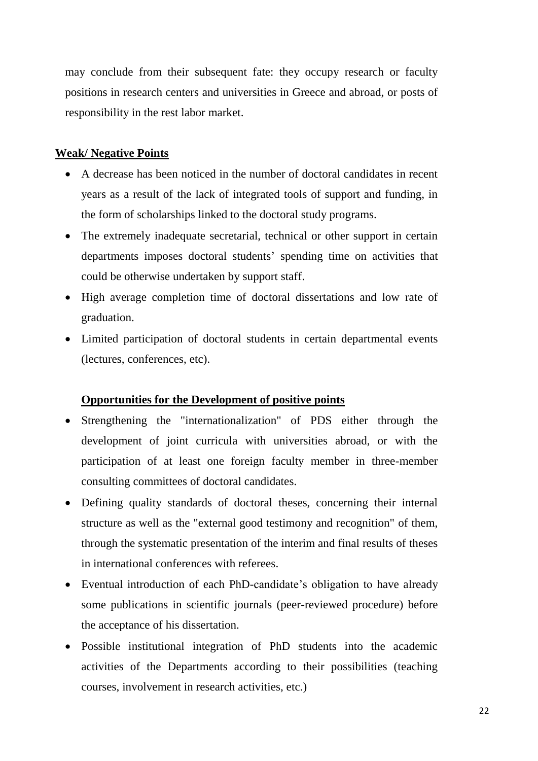may conclude from their subsequent fate: they occupy research or faculty positions in research centers and universities in Greece and abroad, or posts of responsibility in the rest labor market.

## **Weak/ Negative Points**

- A decrease has been noticed in the number of doctoral candidates in recent years as a result of the lack of integrated tools of support and funding, in the form of scholarships linked to the doctoral study programs.
- The extremely inadequate secretarial, technical or other support in certain departments imposes doctoral students' spending time on activities that could be otherwise undertaken by support staff.
- High average completion time of doctoral dissertations and low rate of graduation.
- Limited participation of doctoral students in certain departmental events (lectures, conferences, etc).

## **Opportunities for the Development of positive points**

- Strengthening the "internationalization" of PDS either through the development of joint curricula with universities abroad, or with the participation of at least one foreign faculty member in three-member consulting committees of doctoral candidates.
- Defining quality standards of doctoral theses, concerning their internal structure as well as the "external good testimony and recognition" of them, through the systematic presentation of the interim and final results of theses in international conferences with referees.
- Eventual introduction of each PhD-candidate's obligation to have already some publications in scientific journals (peer-reviewed procedure) before the acceptance of his dissertation.
- Possible institutional integration of PhD students into the academic activities of the Departments according to their possibilities (teaching courses, involvement in research activities, etc.)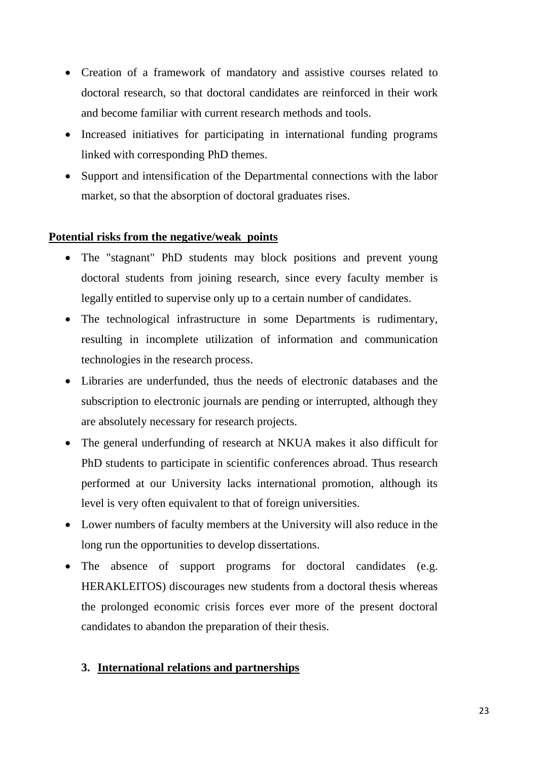- Creation of a framework of mandatory and assistive courses related to doctoral research, so that doctoral candidates are reinforced in their work and become familiar with current research methods and tools.
- Increased initiatives for participating in international funding programs linked with corresponding PhD themes.
- Support and intensification of the Departmental connections with the labor market, so that the absorption of doctoral graduates rises.

## **Potential risks from the negative/weak points**

- The "stagnant" PhD students may block positions and prevent young doctoral students from joining research, since every faculty member is legally entitled to supervise only up to a certain number of candidates.
- The technological infrastructure in some Departments is rudimentary, resulting in incomplete utilization of information and communication technologies in the research process.
- Libraries are underfunded, thus the needs of electronic databases and the subscription to electronic journals are pending or interrupted, although they are absolutely necessary for research projects.
- The general underfunding of research at NKUA makes it also difficult for PhD students to participate in scientific conferences abroad. Thus research performed at our University lacks international promotion, although its level is very often equivalent to that of foreign universities.
- Lower numbers of faculty members at the University will also reduce in the long run the opportunities to develop dissertations.
- The absence of support programs for doctoral candidates (e.g. HERAKLEITOS) discourages new students from a doctoral thesis whereas the prolonged economic crisis forces ever more of the present doctoral candidates to abandon the preparation of their thesis.

## **3. International relations and partnerships**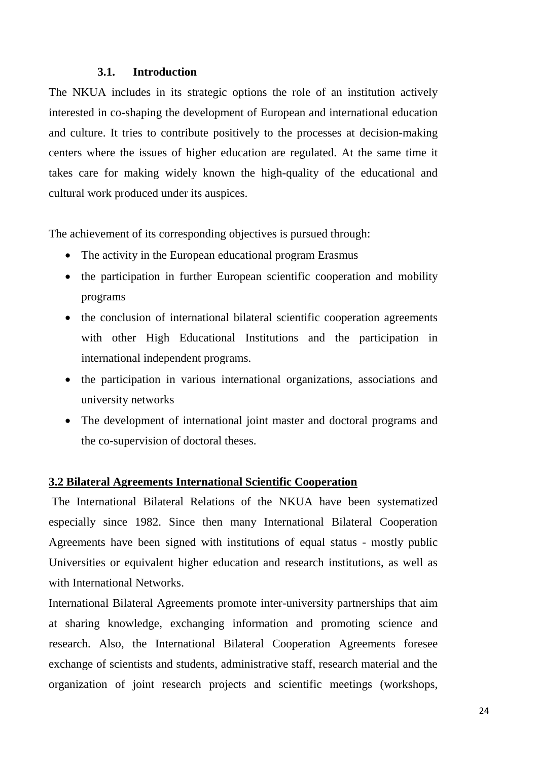## **3.1. Introduction**

The NKUA includes in its strategic options the role of an institution actively interested in co-shaping the development of European and international education and culture. It tries to contribute positively to the processes at decision-making centers where the issues of higher education are regulated. At the same time it takes care for making widely known the high-quality of the educational and cultural work produced under its auspices.

The achievement of its corresponding objectives is pursued through:

- The activity in the European educational program Erasmus
- the participation in further European scientific cooperation and mobility programs
- the conclusion of international bilateral scientific cooperation agreements with other High Educational Institutions and the participation in international independent programs.
- the participation in various international organizations, associations and university networks
- The development of international joint master and doctoral programs and the co-supervision of doctoral theses.

#### **3.2 Bilateral Agreements International Scientific Cooperation**

The International Bilateral Relations of the NKUA have been systematized especially since 1982. Since then many International Bilateral Cooperation Agreements have been signed with institutions of equal status - mostly public Universities or equivalent higher education and research institutions, as well as with International Networks.

International Bilateral Agreements promote inter-university partnerships that aim at sharing knowledge, exchanging information and promoting science and research. Also, the International Bilateral Cooperation Agreements foresee exchange of scientists and students, administrative staff, research material and the organization of joint research projects and scientific meetings (workshops,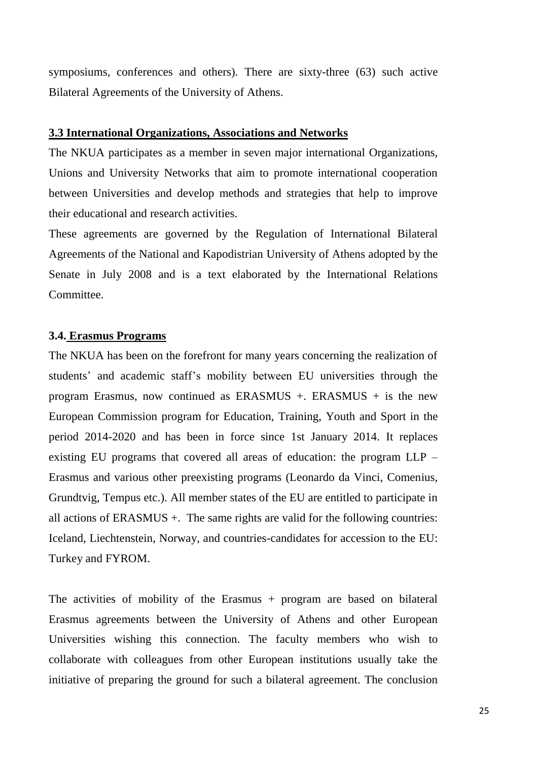symposiums, conferences and others). There are sixty-three (63) such active Bilateral Agreements of the University of Athens.

#### **3.3 International Organizations, Associations and Networks**

The NKUA participates as a member in seven major international Organizations, Unions and University Networks that aim to promote international cooperation between Universities and develop methods and strategies that help to improve their educational and research activities.

These agreements are governed by the Regulation of International Bilateral Agreements of the National and Kapodistrian University of Athens adopted by the Senate in July 2008 and is a text elaborated by the International Relations Committee.

## **3.4. Erasmus Programs**

The NKUA has been on the forefront for many years concerning the realization of students' and academic staff's mobility between EU universities through the program Erasmus, now continued as ERASMUS +. ERASMUS + is the new European Commission program for Education, Training, Youth and Sport in the period 2014-2020 and has been in force since 1st January 2014. It replaces existing EU programs that covered all areas of education: the program LLP – Erasmus and various other preexisting programs (Leonardo da Vinci, Comenius, Grundtvig, Tempus etc.). All member states of the EU are entitled to participate in all actions of ERASMUS +. The same rights are valid for the following countries: Iceland, Liechtenstein, Norway, and countries-candidates for accession to the EU: Turkey and FYROM.

The activities of mobility of the Erasmus + program are based on bilateral Erasmus agreements between the University of Athens and other European Universities wishing this connection. The faculty members who wish to collaborate with colleagues from other European institutions usually take the initiative of preparing the ground for such a bilateral agreement. The conclusion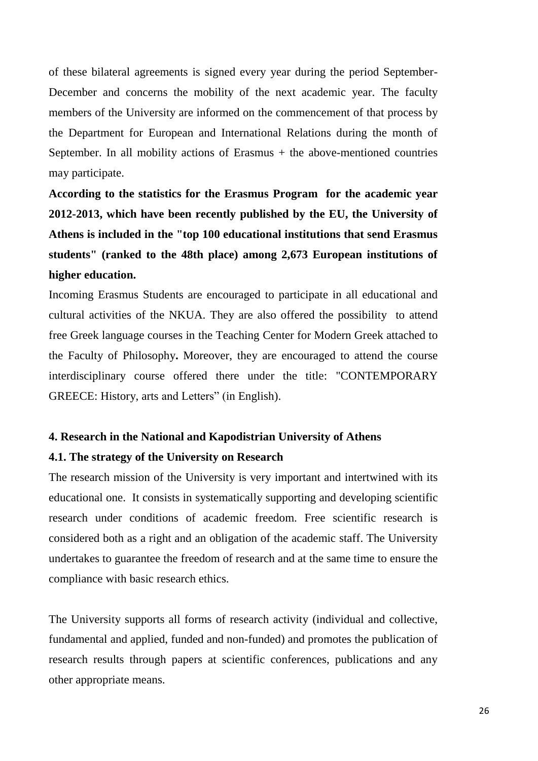of these bilateral agreements is signed every year during the period September-December and concerns the mobility of the next academic year. The faculty members of the University are informed on the commencement of that process by the Department for European and International Relations during the month of September. In all mobility actions of Erasmus  $+$  the above-mentioned countries may participate.

**According to the statistics for the Erasmus Program for the academic year 2012-2013, which have been recently published by the EU, the University of Athens is included in the "top 100 educational institutions that send Erasmus students" (ranked to the 48th place) among 2,673 European institutions of higher education.**

Incoming Erasmus Students are encouraged to participate in all educational and cultural activities of the NKUA. They are also offered the possibility to attend free Greek language courses in the Teaching Center for Modern Greek attached to the Faculty of Philosophy**.** Moreover, they are encouraged to attend the course interdisciplinary course offered there under the title: "CONTEMPORARY GREECE: History, arts and Letters" (in English).

# **4. Research in the National and Kapodistrian University of Athens**

## **4.1. The strategy of the University on Research**

The research mission of the University is very important and intertwined with its educational one. It consists in systematically supporting and developing scientific research under conditions of academic freedom. Free scientific research is considered both as a right and an obligation of the academic staff. The University undertakes to guarantee the freedom of research and at the same time to ensure the compliance with basic research ethics.

The University supports all forms of research activity (individual and collective, fundamental and applied, funded and non-funded) and promotes the publication of research results through papers at scientific conferences, publications and any other appropriate means.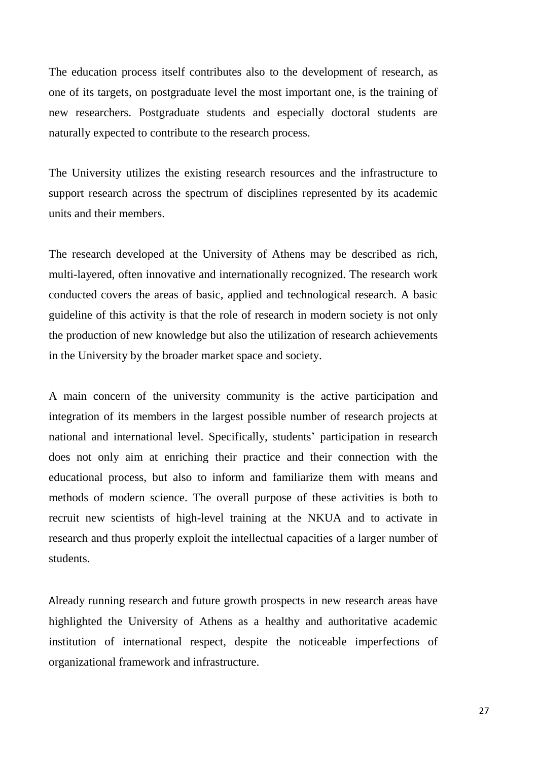The education process itself contributes also to the development of research, as one of its targets, on postgraduate level the most important one, is the training of new researchers. Postgraduate students and especially doctoral students are naturally expected to contribute to the research process.

The University utilizes the existing research resources and the infrastructure to support research across the spectrum of disciplines represented by its academic units and their members.

The research developed at the University of Athens may be described as rich, multi-layered, often innovative and internationally recognized. The research work conducted covers the areas of basic, applied and technological research. A basic guideline of this activity is that the role of research in modern society is not only the production of new knowledge but also the utilization of research achievements in the University by the broader market space and society.

A main concern of the university community is the active participation and integration of its members in the largest possible number of research projects at national and international level. Specifically, students' participation in research does not only aim at enriching their practice and their connection with the educational process, but also to inform and familiarize them with means and methods of modern science. The overall purpose of these activities is both to recruit new scientists of high-level training at the NKUA and to activate in research and thus properly exploit the intellectual capacities of a larger number of students.

Already running research and future growth prospects in new research areas have highlighted the University of Athens as a healthy and authoritative academic institution of international respect, despite the noticeable imperfections of organizational framework and infrastructure.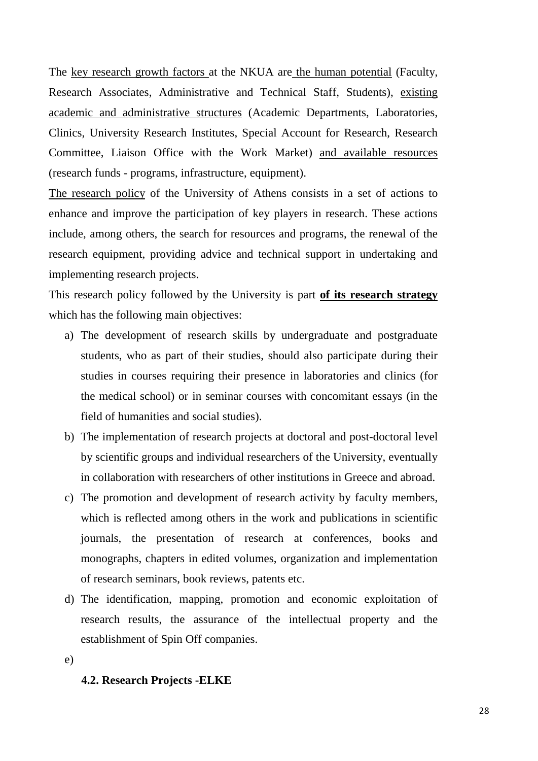The key research growth factors at the NKUA are the human potential (Faculty, Research Associates, Administrative and Technical Staff, Students), existing academic and administrative structures (Academic Departments, Laboratories, Clinics, University Research Institutes, Special Account for Research, Research Committee, Liaison Office with the Work Market) and available resources (research funds - programs, infrastructure, equipment).

The research policy of the University of Athens consists in a set of actions to enhance and improve the participation of key players in research. These actions include, among others, the search for resources and programs, the renewal of the research equipment, providing advice and technical support in undertaking and implementing research projects.

This research policy followed by the University is part **of its research strategy** which has the following main objectives:

- a) The development of research skills by undergraduate and postgraduate students, who as part of their studies, should also participate during their studies in courses requiring their presence in laboratories and clinics (for the medical school) or in seminar courses with concomitant essays (in the field of humanities and social studies).
- b) The implementation of research projects at doctoral and post-doctoral level by scientific groups and individual researchers of the University, eventually in collaboration with researchers of other institutions in Greece and abroad.
- c) The promotion and development of research activity by faculty members, which is reflected among others in the work and publications in scientific journals, the presentation of research at conferences, books and monographs, chapters in edited volumes, organization and implementation of research seminars, book reviews, patents etc.
- d) The identification, mapping, promotion and economic exploitation of research results, the assurance of the intellectual property and the establishment of Spin Off companies.
- e)

## **4.2. Research Projects -ELKE**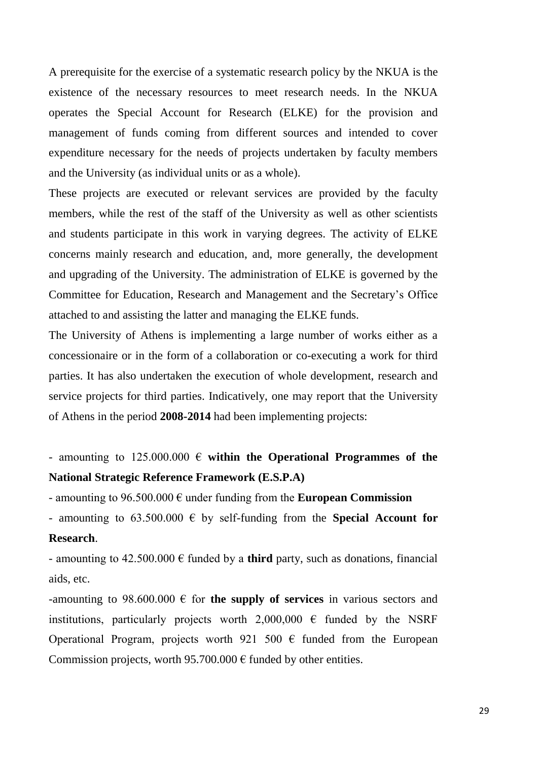A prerequisite for the exercise of a systematic research policy by the NKUA is the existence of the necessary resources to meet research needs. In the NKUA operates the Special Account for Research (ELKE) for the provision and management of funds coming from different sources and intended to cover expenditure necessary for the needs of projects undertaken by faculty members and the University (as individual units or as a whole).

These projects are executed or relevant services are provided by the faculty members, while the rest of the staff of the University as well as other scientists and students participate in this work in varying degrees. The activity of ELKE concerns mainly research and education, and, more generally, the development and upgrading of the University. The administration of ELKE is governed by the Committee for Education, Research and Management and the Secretary's Office attached to and assisting the latter and managing the ELKE funds.

The University of Athens is implementing a large number of works either as a concessionaire or in the form of a collaboration or co-executing a work for third parties. It has also undertaken the execution of whole development, research and service projects for third parties. Indicatively, one may report that the University of Athens in the period **2008-2014** had been implementing projects:

- amounting to 125.000.000 € **within the Operational Programmes of the National Strategic Reference Framework (E.S.P.A)**

- amounting to 96.500.000 € under funding from the **European Commission**

- amounting to  $63.500.000 \in$  by self-funding from the **Special Account for Research**.

- amounting to  $42.500.000 \in \text{fanded by a third party, such as donations, financial}$ aids, etc.

-amounting to 98.600.000  $\epsilon$  for **the supply of services** in various sectors and institutions, particularly projects worth 2,000,000  $\epsilon$  funded by the NSRF Operational Program, projects worth 921 500  $\epsilon$  funded from the European Commission projects, worth 95.700.000  $\epsilon$  funded by other entities.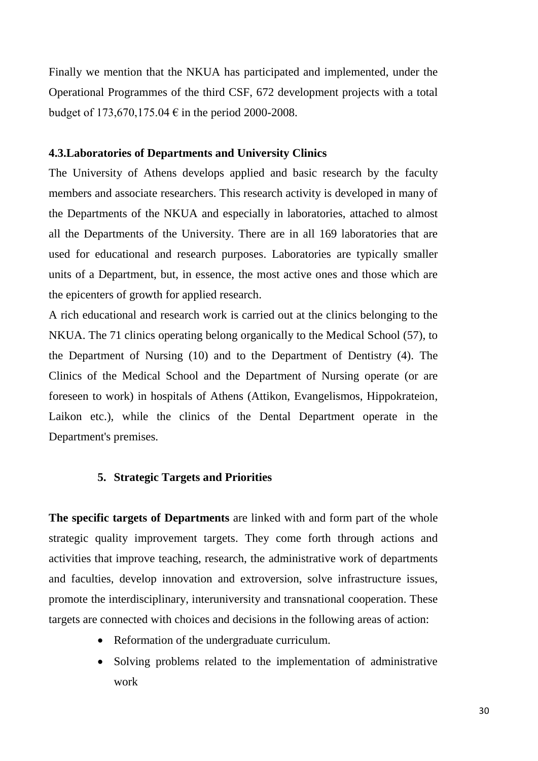Finally we mention that the NKUA has participated and implemented, under the Operational Programmes of the third CSF, 672 development projects with a total budget of 173,670,175.04 € in the period 2000-2008.

## **4.3.Laboratories of Departments and University Clinics**

The University of Athens develops applied and basic research by the faculty members and associate researchers. This research activity is developed in many of the Departments of the NKUA and especially in laboratories, attached to almost all the Departments of the University. There are in all 169 laboratories that are used for educational and research purposes. Laboratories are typically smaller units of a Department, but, in essence, the most active ones and those which are the epicenters of growth for applied research.

A rich educational and research work is carried out at the clinics belonging to the NKUA. The 71 clinics operating belong organically to the Medical School (57), to the Department of Nursing (10) and to the Department of Dentistry (4). The Clinics of the Medical School and the Department of Nursing operate (or are foreseen to work) in hospitals of Athens (Attikon, Evangelismos, Hippokrateion, Laikon etc.), while the clinics of the Dental Department operate in the Department's premises.

## **5. Strategic Targets and Priorities**

**The specific targets of Departments** are linked with and form part of the whole strategic quality improvement targets. They come forth through actions and activities that improve teaching, research, the administrative work of departments and faculties, develop innovation and extroversion, solve infrastructure issues, promote the interdisciplinary, interuniversity and transnational cooperation. These targets are connected with choices and decisions in the following areas of action:

- Reformation of the undergraduate curriculum.
- Solving problems related to the implementation of administrative work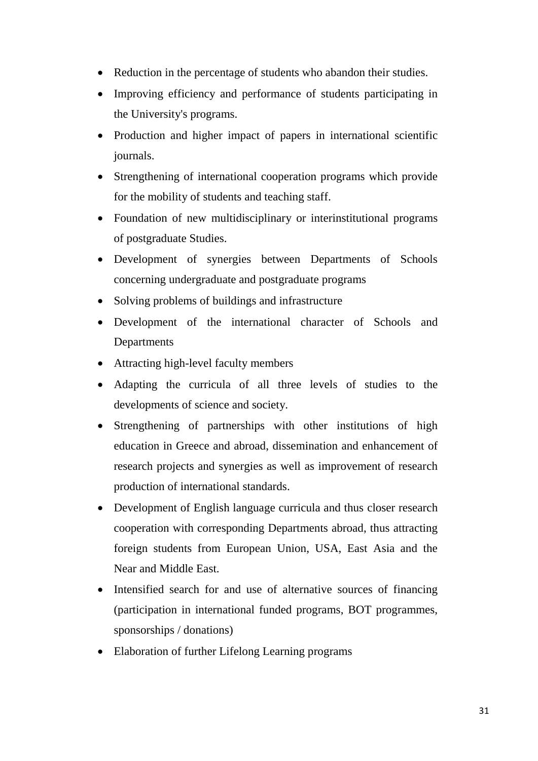- Reduction in the percentage of students who abandon their studies.
- Improving efficiency and performance of students participating in the University's programs.
- Production and higher impact of papers in international scientific journals.
- Strengthening of international cooperation programs which provide for the mobility of students and teaching staff.
- Foundation of new multidisciplinary or interinstitutional programs of postgraduate Studies.
- Development of synergies between Departments of Schools concerning undergraduate and postgraduate programs
- Solving problems of buildings and infrastructure
- Development of the international character of Schools and Departments
- Attracting high-level faculty members
- Adapting the curricula of all three levels of studies to the developments of science and society.
- Strengthening of partnerships with other institutions of high education in Greece and abroad, dissemination and enhancement of research projects and synergies as well as improvement of research production of international standards.
- Development of English language curricula and thus closer research cooperation with corresponding Departments abroad, thus attracting foreign students from European Union, USA, East Asia and the Near and Middle East.
- Intensified search for and use of alternative sources of financing (participation in international funded programs, BOT programmes, sponsorships / donations)
- Elaboration of further Lifelong Learning programs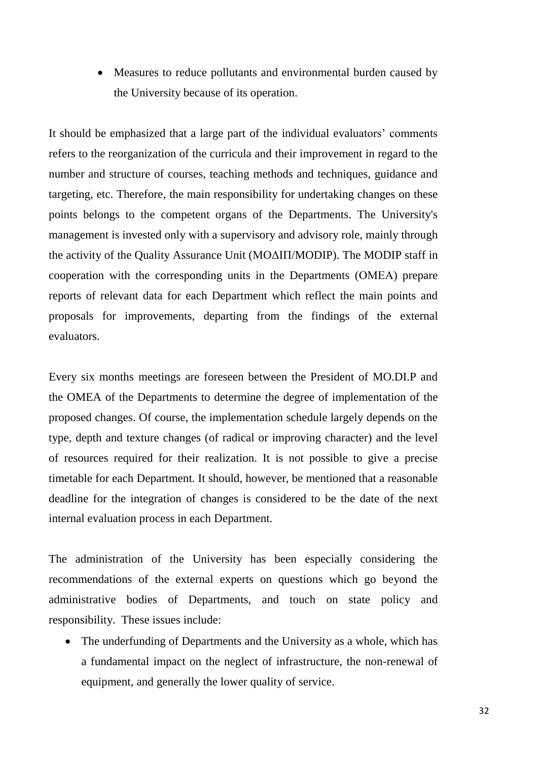• Measures to reduce pollutants and environmental burden caused by the University because of its operation.

It should be emphasized that a large part of the individual evaluators' comments refers to the reorganization of the curricula and their improvement in regard to the number and structure of courses, teaching methods and techniques, guidance and targeting, etc. Therefore, the main responsibility for undertaking changes on these points belongs to the competent organs of the Departments. The University's management is invested only with a supervisory and advisory role, mainly through the activity of the Quality Assurance Unit (ΜΟΔΙΠ/MODIP). The MODIP staff in cooperation with the corresponding units in the Departments (ΟΜΕΑ) prepare reports of relevant data for each Department which reflect the main points and proposals for improvements, departing from the findings of the external evaluators.

Every six months meetings are foreseen between the President of MO.DI.P and the OMEA of the Departments to determine the degree of implementation of the proposed changes. Of course, the implementation schedule largely depends on the type, depth and texture changes (of radical or improving character) and the level of resources required for their realization. It is not possible to give a precise timetable for each Department. It should, however, be mentioned that a reasonable deadline for the integration of changes is considered to be the date of the next internal evaluation process in each Department.

The administration of the University has been especially considering the recommendations of the external experts on questions which go beyond the administrative bodies of Departments, and touch on state policy and responsibility. These issues include:

• The underfunding of Departments and the University as a whole, which has a fundamental impact on the neglect of infrastructure, the non-renewal of equipment, and generally the lower quality of service.